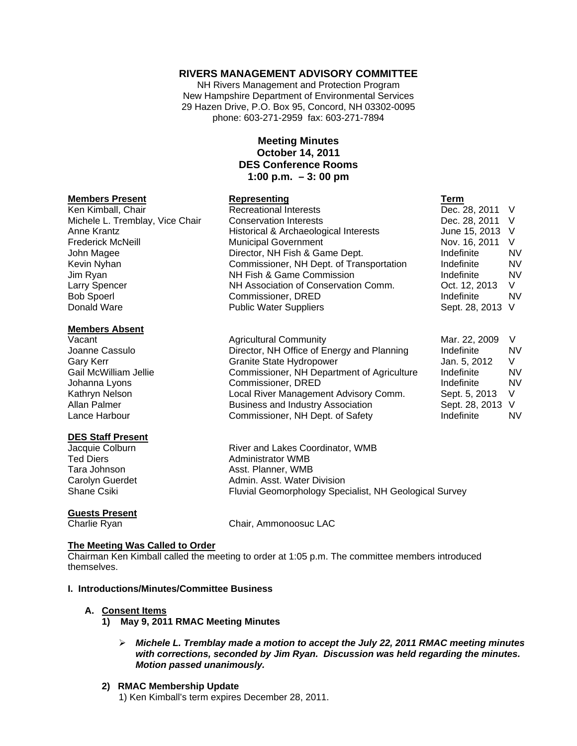## **RIVERS MANAGEMENT ADVISORY COMMITTEE**

NH Rivers Management and Protection Program New Hampshire Department of Environmental Services 29 Hazen Drive, P.O. Box 95, Concord, NH 03302-0095 phone: 603-271-2959 fax: 603-271-7894

## **Meeting Minutes October 14, 2011 DES Conference Rooms 1:00 p.m. – 3: 00 pm**

#### **Members Present Communist Representing**

Ken Kimball, Chair **Recreational Interests** Michele L. Tremblay, Vice Chair Conservation Interests Anne Krantz **Historical & Archaeological Interests** Frederick McNeill Municipal Government John Magee Director, NH Fish & Game Dept. Kevin Nyhan **Commissioner, NH Dept. of Transportation** Jim Ryan NH Fish & Game Commission Larry Spencer NH Association of Conservation Comm. Bob Spoerl **Commissioner**, DRED Donald Ware **Public Water Suppliers** 

### **Members Absent**

Vacant Vacant Agricultural Community Joanne Cassulo **Director, NH Office of Energy and Planning** Joanne Cassulo Gary Kerr Granite State Hydropower Gail McWilliam Jellie Commissioner, NH Department of Agriculture Johanna Lyons Commissioner, DRED Kathryn Nelson **Local River Management Advisory Comm.** Local River Management Advisory Comm. Allan Palmer **Business and Industry Association** Business and Industry Association Lance Harbour Commissioner, NH Dept. of Safety

### **DES Staff Present**

# **Guests Present**

Jacquie Colburn River and Lakes Coordinator, WMB Ted Diers **Administrator WMB** Tara Johnson **Asst. Planner, WMB** Carolyn Guerdet **Admin.** Asst. Water Division Shane Csiki **Fluvial Geomorphology Specialist, NH Geological Survey** Fluvial Geomorphology Specialist, NH Geological Survey

Charlie Ryan Chair, Ammonoosuc LAC

### **The Meeting Was Called to Order**

Chairman Ken Kimball called the meeting to order at 1:05 p.m. The committee members introduced themselves.

### **I. Introductions/Minutes/Committee Business**

### **A. Consent Items**

- **1) May 9, 2011 RMAC Meeting Minutes** 
	- *Michele L. Tremblay made a motion to accept the July 22, 2011 RMAC meeting minutes with corrections, seconded by Jim Ryan. Discussion was held regarding the minutes. Motion passed unanimously.*

### **2) RMAC Membership Update**

1) Ken Kimball's term expires December 28, 2011.

| I erm          |    |
|----------------|----|
| Dec. 28, 2011  | V  |
| Dec. 28, 2011  | V  |
| June 15, 2013  | V  |
| Nov. 16, 2011  | V  |
| Indefinite     | N١ |
| Indefinite     | N١ |
| Indefinite     | N١ |
| Oct. 12, 2013  | V  |
| Indefinite     | N١ |
| Sept. 28, 2013 | V  |
|                |    |

| Mar. 22, 2009  | V  |
|----------------|----|
| Indefinite     | NV |
| Jan. 5, 2012   | V  |
| Indefinite     | NV |
| Indefinite     | NV |
| Sept. 5, 2013  | V  |
| Sept. 28, 2013 | V  |
| Indefinite     | NV |
|                |    |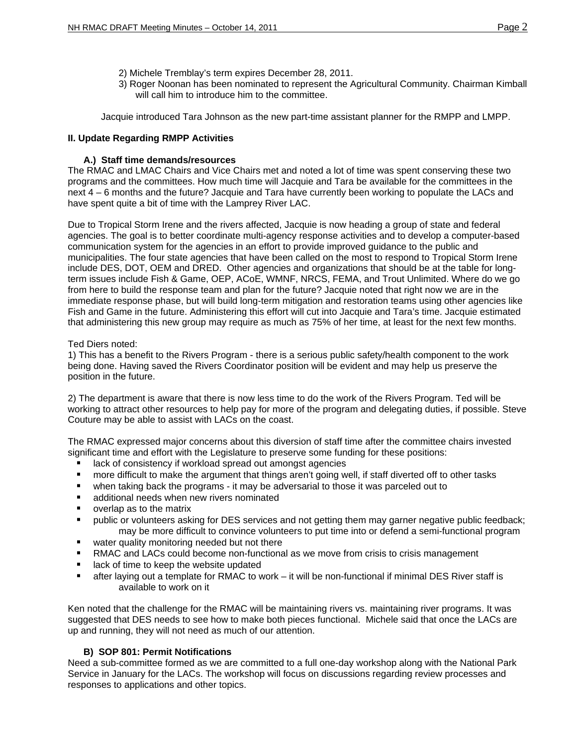- 2) Michele Tremblay's term expires December 28, 2011.
- 3) Roger Noonan has been nominated to represent the Agricultural Community. Chairman Kimball will call him to introduce him to the committee.

Jacquie introduced Tara Johnson as the new part-time assistant planner for the RMPP and LMPP.

## **II. Update Regarding RMPP Activities**

## **A.) Staff time demands/resources**

The RMAC and LMAC Chairs and Vice Chairs met and noted a lot of time was spent conserving these two programs and the committees. How much time will Jacquie and Tara be available for the committees in the next 4 – 6 months and the future? Jacquie and Tara have currently been working to populate the LACs and have spent quite a bit of time with the Lamprey River LAC.

Due to Tropical Storm Irene and the rivers affected, Jacquie is now heading a group of state and federal agencies. The goal is to better coordinate multi-agency response activities and to develop a computer-based communication system for the agencies in an effort to provide improved guidance to the public and municipalities. The four state agencies that have been called on the most to respond to Tropical Storm Irene include DES, DOT, OEM and DRED. Other agencies and organizations that should be at the table for longterm issues include Fish & Game, OEP, ACoE, WMNF, NRCS, FEMA, and Trout Unlimited. Where do we go from here to build the response team and plan for the future? Jacquie noted that right now we are in the immediate response phase, but will build long-term mitigation and restoration teams using other agencies like Fish and Game in the future. Administering this effort will cut into Jacquie and Tara's time. Jacquie estimated that administering this new group may require as much as 75% of her time, at least for the next few months.

### Ted Diers noted:

1) This has a benefit to the Rivers Program - there is a serious public safety/health component to the work being done. Having saved the Rivers Coordinator position will be evident and may help us preserve the position in the future.

2) The department is aware that there is now less time to do the work of the Rivers Program. Ted will be working to attract other resources to help pay for more of the program and delegating duties, if possible. Steve Couture may be able to assist with LACs on the coast.

The RMAC expressed major concerns about this diversion of staff time after the committee chairs invested significant time and effort with the Legislature to preserve some funding for these positions:

- lack of consistency if workload spread out amongst agencies
- more difficult to make the argument that things aren't going well, if staff diverted off to other tasks
- when taking back the programs it may be adversarial to those it was parceled out to
- additional needs when new rivers nominated
- overlap as to the matrix
- public or volunteers asking for DES services and not getting them may garner negative public feedback; may be more difficult to convince volunteers to put time into or defend a semi-functional program
- **E** water quality monitoring needed but not there
- **RMAC** and LACs could become non-functional as we move from crisis to crisis management
- **If** lack of time to keep the website updated
- after laying out a template for RMAC to work it will be non-functional if minimal DES River staff is available to work on it

Ken noted that the challenge for the RMAC will be maintaining rivers vs. maintaining river programs. It was suggested that DES needs to see how to make both pieces functional. Michele said that once the LACs are up and running, they will not need as much of our attention.

### **B) SOP 801: Permit Notifications**

Need a sub-committee formed as we are committed to a full one-day workshop along with the National Park Service in January for the LACs. The workshop will focus on discussions regarding review processes and responses to applications and other topics.